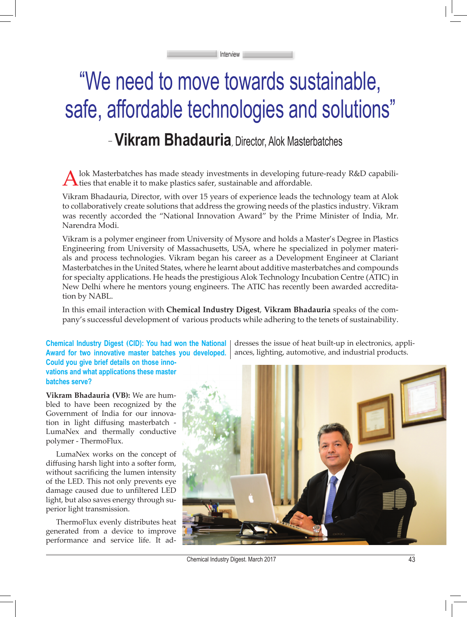# "We need to move towards sustainable, safe, affordable technologies and solutions"

Interview

## **Vikram Bhadauria**, Director, Alok Masterbatches \_

lok Masterbatches has made steady investments in developing future-ready R&D capabili- $\bigcap$  ties that enable it to make plastics safer, sustainable and affordable.

Vikram Bhadauria, Director, with over 15 years of experience leads the technology team at Alok to collaboratively create solutions that address the growing needs of the plastics industry. Vikram was recently accorded the "National Innovation Award" by the Prime Minister of India, Mr. Narendra Modi.

Vikram is a polymer engineer from University of Mysore and holds a Master's Degree in Plastics Engineering from University of Massachusetts, USA, where he specialized in polymer materials and process technologies. Vikram began his career as a Development Engineer at Clariant Masterbatches in the United States, where he learnt about additive masterbatches and compounds for specialty applications. He heads the prestigious Alok Technology Incubation Centre (ATIC) in New Delhi where he mentors young engineers. The ATIC has recently been awarded accreditation by NABL.

In this email interaction with **Chemical Industry Digest**, **Vikram Bhadauria** speaks of the company's successful development of various products while adhering to the tenets of sustainability.

**Chemical Industry Digest (CID): You had won the National Award for two innovative master batches you developed. Could you give brief details on those inno-**

**vations and what applications these master batches serve?**

**Vikram Bhadauria (VB):** We are humbled to have been recognized by the Government of India for our innovation in light diffusing masterbatch - LumaNex and thermally conductive polymer - ThermoFlux.

LumaNex works on the concept of diffusing harsh light into a softer form, without sacrificing the lumen intensity of the LED. This not only prevents eye damage caused due to unfiltered LED light, but also saves energy through superior light transmission.

ThermoFlux evenly distributes heat generated from a device to improve performance and service life. It addresses the issue of heat built-up in electronics, appliances, lighting, automotive, and industrial products.



Chemical Industry Digest. March 2017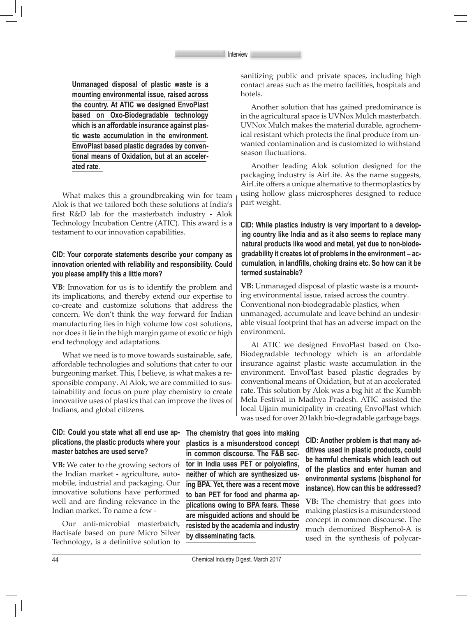**Unmanaged disposal of plastic waste is a mounting environmental issue, raised across the country. At ATIC we designed EnvoPlast based on Oxo-Biodegradable technology which is an affordable insurance against plastic waste accumulation in the environment. EnvoPlast based plastic degrades by conventional means of Oxidation, but at an accelerated rate.**

What makes this a groundbreaking win for team Alok is that we tailored both these solutions at India's first R&D lab for the masterbatch industry - Alok Technology Incubation Centre (ATIC). This award is a testament to our innovation capabilities.

### **CID: Your corporate statements describe your company as innovation oriented with reliability and responsibility. Could you please amplify this a little more?**

**VB**: Innovation for us is to identify the problem and its implications, and thereby extend our expertise to co-create and customize solutions that address the concern. We don't think the way forward for Indian manufacturing lies in high volume low cost solutions, nor does it lie in the high margin game of exotic or high end technology and adaptations.

What we need is to move towards sustainable, safe, affordable technologies and solutions that cater to our burgeoning market. This, I believe, is what makes a responsible company. At Alok, we are committed to sustainability and focus on pure play chemistry to create innovative uses of plastics that can improve the lives of Indians, and global citizens.

sanitizing public and private spaces, including high contact areas such as the metro facilities, hospitals and hotels.

Another solution that has gained predominance is in the agricultural space is UVNox Mulch masterbatch. UVNox Mulch makes the material durable, agrochemical resistant which protects the final produce from unwanted contamination and is customized to withstand season fluctuations.

Another leading Alok solution designed for the packaging industry is AirLite. As the name suggests, AirLite offers a unique alternative to thermoplastics by using hollow glass microspheres designed to reduce part weight.

**CID: While plastics industry is very important to a developing country like India and as it also seems to replace many natural products like wood and metal, yet due to non-biodegradability it creates lot of problems in the environment – accumulation, in landfills, choking drains etc. So how can it be termed sustainable?**

**VB:** Unmanaged disposal of plastic waste is a mounting environmental issue, raised across the country. Conventional non-biodegradable plastics, when unmanaged, accumulate and leave behind an undesirable visual footprint that has an adverse impact on the environment.

At ATIC we designed EnvoPlast based on Oxo-Biodegradable technology which is an affordable insurance against plastic waste accumulation in the environment. EnvoPlast based plastic degrades by conventional means of Oxidation, but at an accelerated rate. This solution by Alok was a big hit at the Kumbh Mela Festival in Madhya Pradesh. ATIC assisted the local Ujjain municipality in creating EnvoPlast which was used for over 20 lakh bio-degradable garbage bags.

#### **CID: Could you state what all end use applications, the plastic products where your master batches are used serve?**

**VB:** We cater to the growing sectors of the Indian market - agriculture, automobile, industrial and packaging. Our innovative solutions have performed well and are finding relevance in the Indian market. To name a few -

Our anti-microbial masterbatch, Bactisafe based on pure Micro Silver Technology, is a definitive solution to **The chemistry that goes into making plastics is a misunderstood concept in common discourse. The F&B sector in India uses PET or polyolefins, neither of which are synthesized using BPA. Yet, there was a recent move to ban PET for food and pharma applications owing to BPA fears. These are misguided actions and should be resisted by the academia and industry by disseminating facts.**

**CID: Another problem is that many additives used in plastic products, could be harmful chemicals which leach out of the plastics and enter human and environmental systems (bisphenol for instance). How can this be addressed?**

**VB:** The chemistry that goes into making plastics is a misunderstood concept in common discourse. The much demonized Bisphenol-A is used in the synthesis of polycar